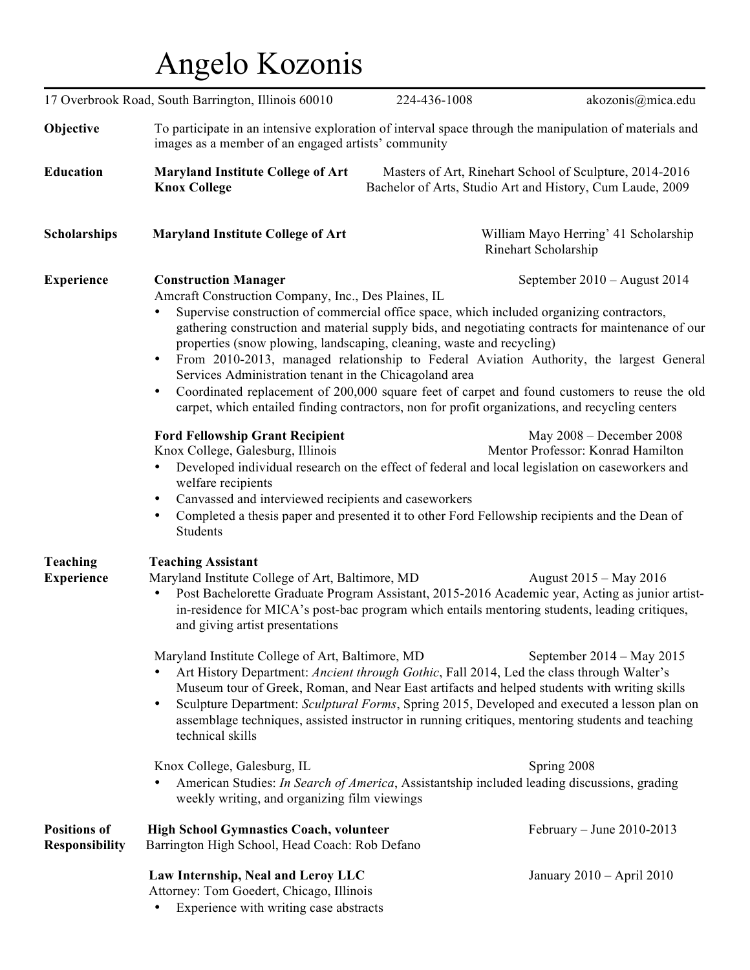## Angelo Kozonis

|                                              | 17 Overbrook Road, South Barrington, Illinois 60010                                                                                                                                                                                                                                                                                                                                                                                                                                                                                                                                                                                                                                                                                                                                                                                         | 224-436-1008 | akozonis@mica.edu                                                                                                    |
|----------------------------------------------|---------------------------------------------------------------------------------------------------------------------------------------------------------------------------------------------------------------------------------------------------------------------------------------------------------------------------------------------------------------------------------------------------------------------------------------------------------------------------------------------------------------------------------------------------------------------------------------------------------------------------------------------------------------------------------------------------------------------------------------------------------------------------------------------------------------------------------------------|--------------|----------------------------------------------------------------------------------------------------------------------|
| Objective                                    | To participate in an intensive exploration of interval space through the manipulation of materials and<br>images as a member of an engaged artists' community                                                                                                                                                                                                                                                                                                                                                                                                                                                                                                                                                                                                                                                                               |              |                                                                                                                      |
| <b>Education</b>                             | <b>Maryland Institute College of Art</b><br><b>Knox College</b>                                                                                                                                                                                                                                                                                                                                                                                                                                                                                                                                                                                                                                                                                                                                                                             |              | Masters of Art, Rinehart School of Sculpture, 2014-2016<br>Bachelor of Arts, Studio Art and History, Cum Laude, 2009 |
| <b>Scholarships</b>                          | <b>Maryland Institute College of Art</b>                                                                                                                                                                                                                                                                                                                                                                                                                                                                                                                                                                                                                                                                                                                                                                                                    |              | William Mayo Herring' 41 Scholarship<br>Rinehart Scholarship                                                         |
| <b>Experience</b>                            | <b>Construction Manager</b><br>September $2010 -$ August 2014<br>Ameraft Construction Company, Inc., Des Plaines, IL<br>Supervise construction of commercial office space, which included organizing contractors,<br>gathering construction and material supply bids, and negotiating contracts for maintenance of our<br>properties (snow plowing, landscaping, cleaning, waste and recycling)<br>From 2010-2013, managed relationship to Federal Aviation Authority, the largest General<br>Services Administration tenant in the Chicagoland area<br>Coordinated replacement of 200,000 square feet of carpet and found customers to reuse the old<br>$\bullet$<br>carpet, which entailed finding contractors, non for profit organizations, and recycling centers<br><b>Ford Fellowship Grant Recipient</b><br>May 2008 - December 2008 |              |                                                                                                                      |
|                                              | Knox College, Galesburg, Illinois<br>Developed individual research on the effect of federal and local legislation on caseworkers and<br>welfare recipients<br>Canvassed and interviewed recipients and caseworkers<br>Completed a thesis paper and presented it to other Ford Fellowship recipients and the Dean of<br>٠<br>Students                                                                                                                                                                                                                                                                                                                                                                                                                                                                                                        |              | Mentor Professor: Konrad Hamilton                                                                                    |
| Teaching<br><b>Experience</b>                | <b>Teaching Assistant</b><br>Maryland Institute College of Art, Baltimore, MD<br>August 2015 – May 2016<br>Post Bachelorette Graduate Program Assistant, 2015-2016 Academic year, Acting as junior artist-<br>٠<br>in-residence for MICA's post-bac program which entails mentoring students, leading critiques,<br>and giving artist presentations                                                                                                                                                                                                                                                                                                                                                                                                                                                                                         |              |                                                                                                                      |
|                                              | Maryland Institute College of Art, Baltimore, MD<br>September $2014 - May 2015$<br>Art History Department: Ancient through Gothic, Fall 2014, Led the class through Walter's<br>Museum tour of Greek, Roman, and Near East artifacts and helped students with writing skills<br>Sculpture Department: Sculptural Forms, Spring 2015, Developed and executed a lesson plan on<br>assemblage techniques, assisted instructor in running critiques, mentoring students and teaching<br>technical skills                                                                                                                                                                                                                                                                                                                                        |              |                                                                                                                      |
|                                              | Knox College, Galesburg, IL<br>American Studies: In Search of America, Assistantship included leading discussions, grading<br>weekly writing, and organizing film viewings                                                                                                                                                                                                                                                                                                                                                                                                                                                                                                                                                                                                                                                                  |              | Spring 2008                                                                                                          |
| <b>Positions of</b><br><b>Responsibility</b> | <b>High School Gymnastics Coach, volunteer</b><br>Barrington High School, Head Coach: Rob Defano                                                                                                                                                                                                                                                                                                                                                                                                                                                                                                                                                                                                                                                                                                                                            |              | February – June 2010-2013                                                                                            |
|                                              | Law Internship, Neal and Leroy LLC<br>Attorney: Tom Goedert, Chicago, Illinois<br>Experience with writing case abstracts                                                                                                                                                                                                                                                                                                                                                                                                                                                                                                                                                                                                                                                                                                                    |              | January 2010 - April 2010                                                                                            |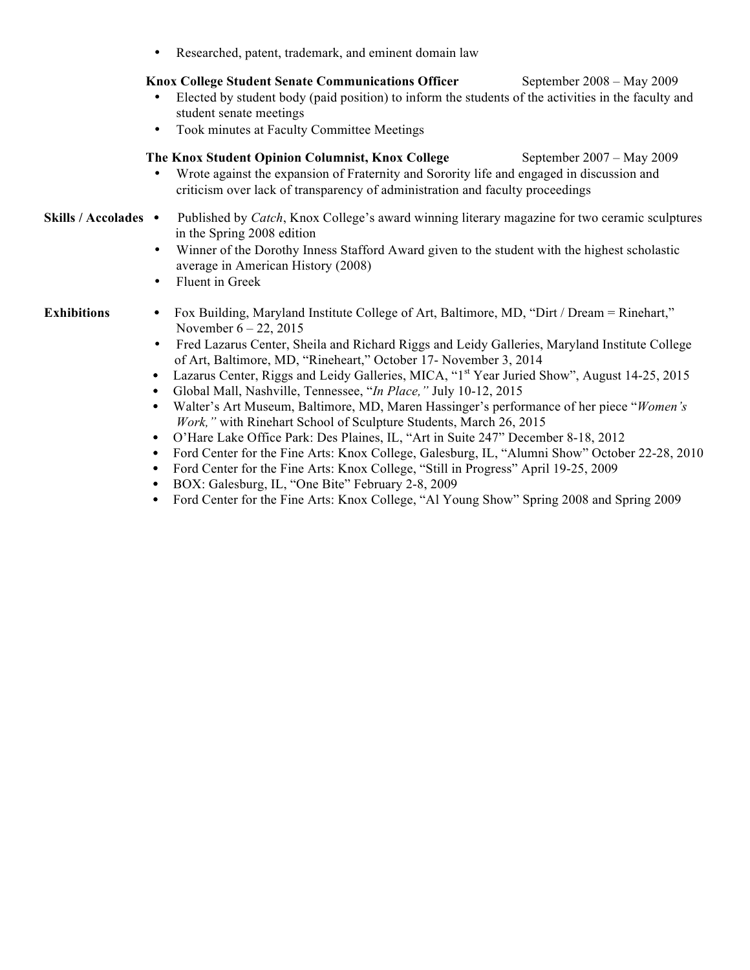• Researched, patent, trademark, and eminent domain law

## Knox College Student Senate Communications Officer September 2008 – May 2009

- Elected by student body (paid position) to inform the students of the activities in the faculty and student senate meetings
- Took minutes at Faculty Committee Meetings

## **The Knox Student Opinion Columnist, Knox College** September 2007 – May 2009

- Wrote against the expansion of Fraternity and Sorority life and engaged in discussion and criticism over lack of transparency of administration and faculty proceedings
- **Skills / Accolades** Published by *Catch*, Knox College's award winning literary magazine for two ceramic sculptures in the Spring 2008 edition
	- Winner of the Dorothy Inness Stafford Award given to the student with the highest scholastic average in American History (2008)
	- Fluent in Greek

- **Exhibitions** Fox Building, Maryland Institute College of Art, Baltimore, MD, "Dirt / Dream = Rinehart," November 6 – 22, 2015
	- Fred Lazarus Center, Sheila and Richard Riggs and Leidy Galleries, Maryland Institute College of Art, Baltimore, MD, "Rineheart," October 17- November 3, 2014
	- Lazarus Center, Riggs and Leidy Galleries, MICA, "1<sup>st</sup> Year Juried Show", August 14-25, 2015
	- Global Mall, Nashville, Tennessee, "*In Place,"* July 10-12, 2015
	- Walter's Art Museum, Baltimore, MD, Maren Hassinger's performance of her piece "*Women's Work,"* with Rinehart School of Sculpture Students, March 26, 2015
	- O'Hare Lake Office Park: Des Plaines, IL, "Art in Suite 247" December 8-18, 2012
	- Ford Center for the Fine Arts: Knox College, Galesburg, IL, "Alumni Show" October 22-28, 2010
	- Ford Center for the Fine Arts: Knox College, "Still in Progress" April 19-25, 2009
	- BOX: Galesburg, IL, "One Bite" February 2-8, 2009
	- Ford Center for the Fine Arts: Knox College, "Al Young Show" Spring 2008 and Spring 2009